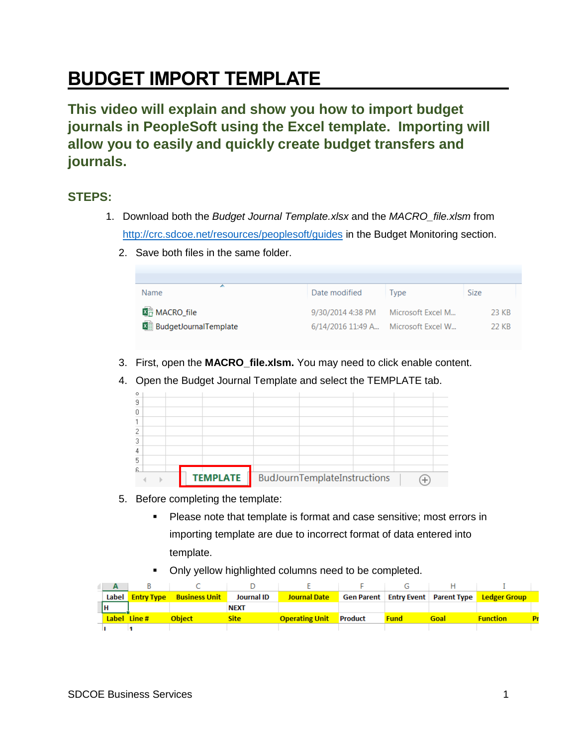## **BUDGET IMPORT TEMPLATE**

**This video will explain and show you how to import budget journals in PeopleSoft using the Excel template. Importing will allow you to easily and quickly create budget transfers and journals.**

## **STEPS:**

- 1. Download both the *Budget Journal Template.xlsx* and the *MACRO\_file.xlsm* from <http://crc.sdcoe.net/resources/peoplesoft/guides> in the Budget Monitoring section.
	- 2. Save both files in the same folder.

| Name                           | Date modified                       | Tvpe | <b>Size</b> |
|--------------------------------|-------------------------------------|------|-------------|
| 图 MACRO_file                   | 9/30/2014 4:38 PM Microsoft Excel M |      | 23 KB       |
| <b>X</b> BudgetJournalTemplate | 6/14/2016 11:49 A Microsoft Excel W |      | -22 KB      |

- 3. First, open the **MACRO\_file.xlsm.** You may need to click enable content.
- 4. Open the Budget Journal Template and select the TEMPLATE tab.

| $\circ$ |  |                 |                              |  |  |
|---------|--|-----------------|------------------------------|--|--|
| 9       |  |                 |                              |  |  |
| 0       |  |                 |                              |  |  |
|         |  |                 |                              |  |  |
|         |  |                 |                              |  |  |
| 3       |  |                 |                              |  |  |
| 4       |  |                 |                              |  |  |
| 5       |  |                 |                              |  |  |
| £.      |  |                 |                              |  |  |
|         |  | <b>TEMPLATE</b> | BudJournTemplateInstructions |  |  |

- 5. Before completing the template:
	- Please note that template is format and case sensitive; most errors in importing template are due to incorrect format of data entered into template.
	- Only yellow highlighted columns need to be completed.

|             | Label Entry Type Business Unit | <b>Journal ID</b> | <b>Journal Date</b>           |             |      | Gen Parent   Entry Event   Parent Type   Ledger Group |    |
|-------------|--------------------------------|-------------------|-------------------------------|-------------|------|-------------------------------------------------------|----|
|             |                                | <b>NEXT</b>       |                               |             |      |                                                       |    |
| Label Line# | <b>Object</b>                  | Sitel             | <b>Operating Unit</b> Product | <b>Fund</b> | Goal | <u>Function</u>                                       | p, |
|             |                                |                   |                               |             |      |                                                       |    |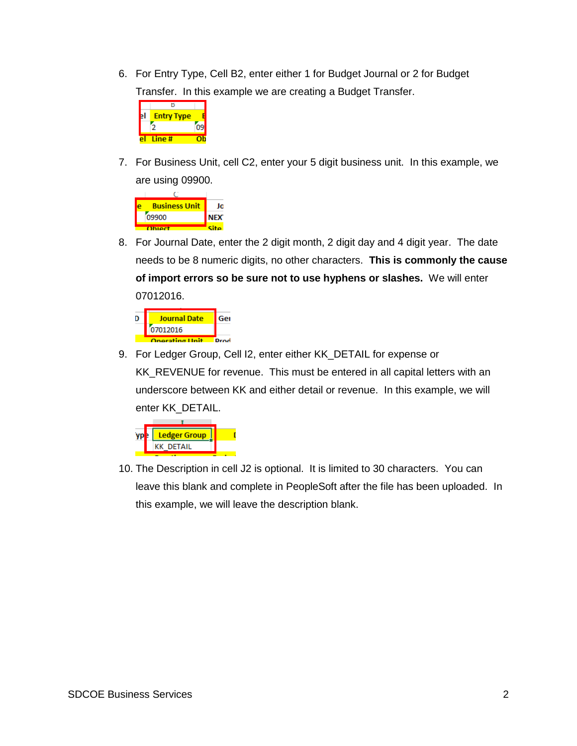6. For Entry Type, Cell B2, enter either 1 for Budget Journal or 2 for Budget Transfer. In this example we are creating a Budget Transfer.



7. For Business Unit, cell C2, enter your 5 digit business unit. In this example, we are using 09900.



8. For Journal Date, enter the 2 digit month, 2 digit day and 4 digit year. The date needs to be 8 numeric digits, no other characters. **This is commonly the cause of import errors so be sure not to use hyphens or slashes.** We will enter 07012016.



9. For Ledger Group, Cell I2, enter either KK\_DETAIL for expense or KK\_REVENUE for revenue. This must be entered in all capital letters with an underscore between KK and either detail or revenue. In this example, we will enter KK\_DETAIL.



10. The Description in cell J2 is optional. It is limited to 30 characters. You can leave this blank and complete in PeopleSoft after the file has been uploaded. In this example, we will leave the description blank.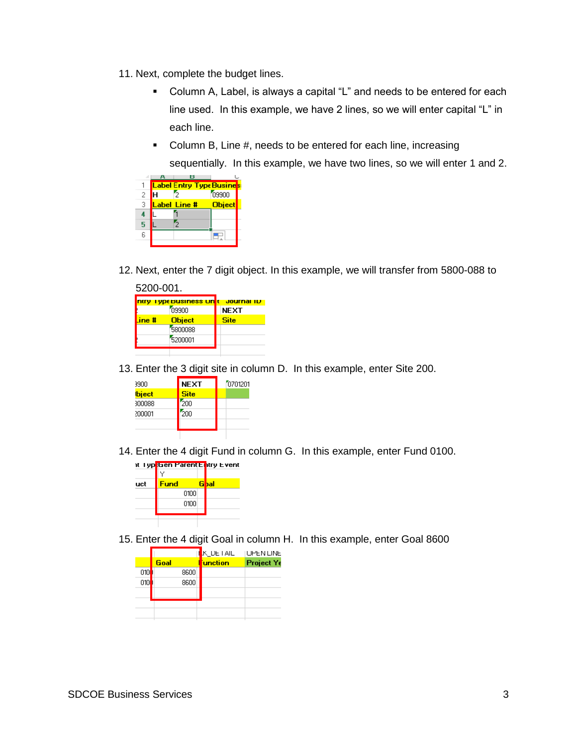- 11. Next, complete the budget lines.
	- Column A, Label, is always a capital "L" and needs to be entered for each line used. In this example, we have 2 lines, so we will enter capital "L" in each line.
	- Column B, Line #, needs to be entered for each line, increasing sequentially. In this example, we have two lines, so we will enter 1 and 2.

|   | н                                |               |  |
|---|----------------------------------|---------------|--|
|   | <b>Label Entry Type Busines:</b> |               |  |
| 2 |                                  | 09900         |  |
| 3 | Label Line #                     | <b>Object</b> |  |
|   |                                  |               |  |
| 5 |                                  |               |  |
| ĥ |                                  |               |  |
|   |                                  |               |  |

12. Next, enter the 7 digit object. In this example, we will transfer from 5800-088 to

| 5200-001. |                      |             |
|-----------|----------------------|-------------|
|           | ntry TypeBusiness Un | Journal ID  |
|           | neen                 | <b>NEXT</b> |
| $line$ #  | <b>Object</b>        | <b>Site</b> |
|           | 5800088              |             |
|           | 5200001              |             |
|           |                      |             |

13. Enter the 3 digit site in column D. In this example, enter Site 200.

| 3900   | <b>NEXT</b> | 0701201 |
|--------|-------------|---------|
| bject  | <b>Site</b> |         |
| 300088 | 200         |         |
| 200001 | 200         |         |
|        |             |         |
|        |             |         |

14. Enter the 4 digit Fund in column G. In this example, enter Fund 0100.



15. Enter the 4 digit Goal in column H. In this example, enter Goal 8600

|      | K_DETAIL        | I UPEN LINE |
|------|-----------------|-------------|
| Goal | <b>Function</b> | Project Ye  |
| 8600 |                 |             |
| 8600 |                 |             |
|      |                 |             |
|      |                 |             |
|      |                 |             |
|      |                 |             |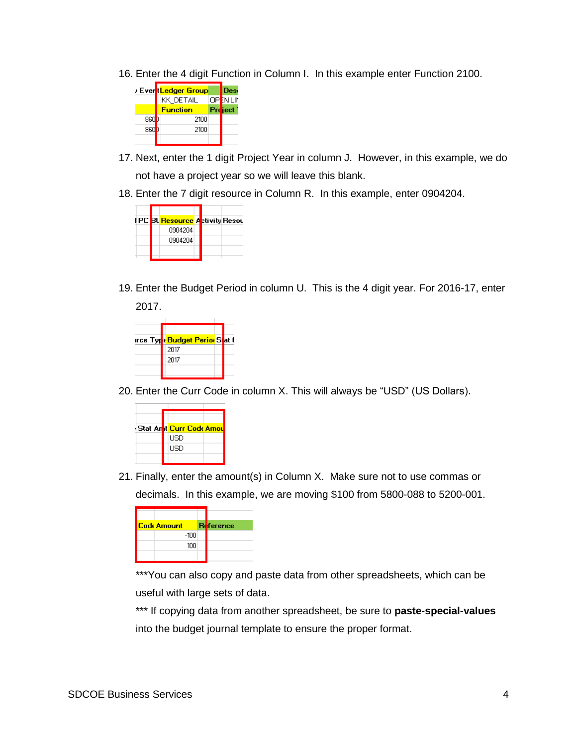16. Enter the 4 digit Function in Column I. In this example enter Function 2100.



- 17. Next, enter the 1 digit Project Year in column J. However, in this example, we do not have a project year so we will leave this blank.
- 18. Enter the 7 digit resource in Column R. In this example, enter 0904204.



19. Enter the Budget Period in column U. This is the 4 digit year. For 2016-17, enter 2017.



20. Enter the Curr Code in column X. This will always be "USD" (US Dollars).



21. Finally, enter the amount(s) in Column X. Make sure not to use commas or decimals. In this example, we are moving \$100 from 5800-088 to 5200-001.

| <b>Code Amount</b> | <b>Reference</b> |
|--------------------|------------------|
| $-100$             |                  |
| 100                |                  |
|                    |                  |

\*\*\*You can also copy and paste data from other spreadsheets, which can be useful with large sets of data.

\*\*\* If copying data from another spreadsheet, be sure to **paste-special-values** into the budget journal template to ensure the proper format.